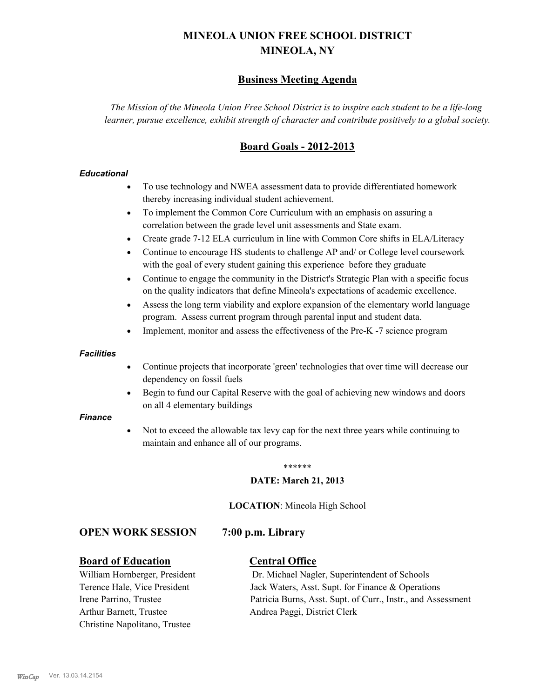# **MINEOLA UNION FREE SCHOOL DISTRICT MINEOLA, NY**

# **Business Meeting Agenda**

*The Mission of the Mineola Union Free School District is to inspire each student to be a life-long learner, pursue excellence, exhibit strength of character and contribute positively to a global society.*

# **Board Goals - 2012-2013**

#### *Educational*

- · To use technology and NWEA assessment data to provide differentiated homework thereby increasing individual student achievement.
- · To implement the Common Core Curriculum with an emphasis on assuring a correlation between the grade level unit assessments and State exam.
- Create grade 7-12 ELA curriculum in line with Common Core shifts in ELA/Literacy
- Continue to encourage HS students to challenge AP and/ or College level coursework with the goal of every student gaining this experience before they graduate
- · Continue to engage the community in the District's Strategic Plan with a specific focus on the quality indicators that define Mineola's expectations of academic excellence.
- Assess the long term viability and explore expansion of the elementary world language program. Assess current program through parental input and student data.
- Implement, monitor and assess the effectiveness of the Pre-K -7 science program

#### *Facilities*

- · Continue projects that incorporate 'green' technologies that over time will decrease our dependency on fossil fuels
- · Begin to fund our Capital Reserve with the goal of achieving new windows and doors on all 4 elementary buildings

#### *Finance*

Not to exceed the allowable tax levy cap for the next three years while continuing to maintain and enhance all of our programs.

#### \*\*\*\*\*\*

#### **DATE: March 21, 2013**

**LOCATION**: Mineola High School

#### **OPEN WORK SESSION 7:00 p.m. Library**

#### **Board of Education Central Office**

Arthur Barnett, Trustee Andrea Paggi, District Clerk Christine Napolitano, Trustee

William Hornberger, President Dr. Michael Nagler, Superintendent of Schools Terence Hale, Vice President Jack Waters, Asst. Supt. for Finance & Operations Irene Parrino, Trustee Patricia Burns, Asst. Supt. of Curr., Instr., and Assessment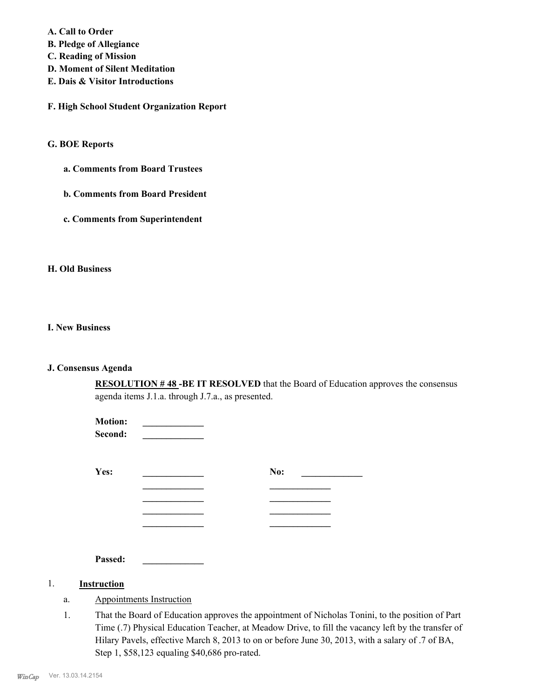**A. Call to Order** 

**B. Pledge of Allegiance**

**C. Reading of Mission**

- **D. Moment of Silent Meditation**
- **E. Dais & Visitor Introductions**

**F. High School Student Organization Report**

#### **G. BOE Reports**

**a. Comments from Board Trustees**

**b. Comments from Board President**

**c. Comments from Superintendent**

#### **H. Old Business**

#### **I. New Business**

#### **J. Consensus Agenda**

**RESOLUTION # 48 -BE IT RESOLVED** that the Board of Education approves the consensus agenda items J.1.a. through J.7.a., as presented.

| <b>Motion:</b><br>Second: |     |
|---------------------------|-----|
| Yes:                      | No: |
|                           |     |
|                           |     |
|                           |     |
| Passed:                   |     |

#### 1. **Instruction**

- a. Appointments Instruction
- That the Board of Education approves the appointment of Nicholas Tonini, to the position of Part Time (.7) Physical Education Teacher, at Meadow Drive, to fill the vacancy left by the transfer of Hilary Pavels, effective March 8, 2013 to on or before June 30, 2013, with a salary of .7 of BA, Step 1, \$58,123 equaling \$40,686 pro-rated. 1.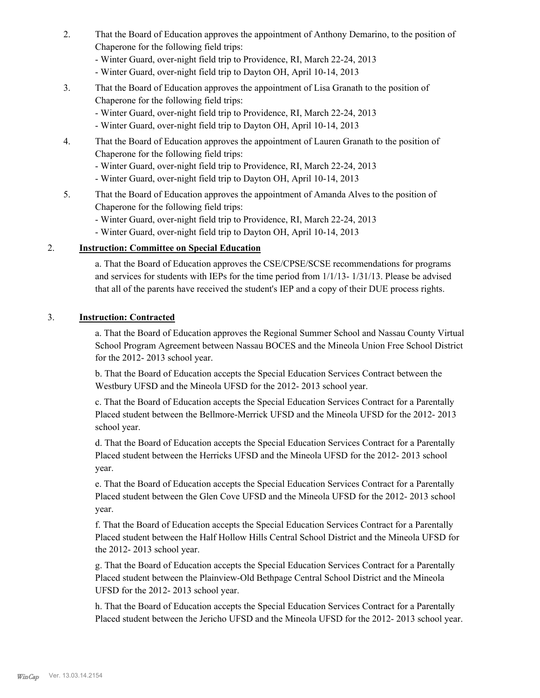- That the Board of Education approves the appointment of Anthony Demarino, to the position of Chaperone for the following field trips: 2.
	- Winter Guard, over-night field trip to Providence, RI, March 22-24, 2013
	- Winter Guard, over-night field trip to Dayton OH, April 10-14, 2013
- That the Board of Education approves the appointment of Lisa Granath to the position of Chaperone for the following field trips: 3.
	- Winter Guard, over-night field trip to Providence, RI, March 22-24, 2013
	- Winter Guard, over-night field trip to Dayton OH, April 10-14, 2013
- That the Board of Education approves the appointment of Lauren Granath to the position of Chaperone for the following field trips: 4.
	- Winter Guard, over-night field trip to Providence, RI, March 22-24, 2013
	- Winter Guard, over-night field trip to Dayton OH, April 10-14, 2013
- That the Board of Education approves the appointment of Amanda Alves to the position of Chaperone for the following field trips: 5.
	- Winter Guard, over-night field trip to Providence, RI, March 22-24, 2013
	- Winter Guard, over-night field trip to Dayton OH, April 10-14, 2013

### 2. **Instruction: Committee on Special Education**

a. That the Board of Education approves the CSE/CPSE/SCSE recommendations for programs and services for students with IEPs for the time period from 1/1/13- 1/31/13. Please be advised that all of the parents have received the student's IEP and a copy of their DUE process rights.

#### 3. **Instruction: Contracted**

a. That the Board of Education approves the Regional Summer School and Nassau County Virtual School Program Agreement between Nassau BOCES and the Mineola Union Free School District for the 2012- 2013 school year.

b. That the Board of Education accepts the Special Education Services Contract between the Westbury UFSD and the Mineola UFSD for the 2012- 2013 school year.

c. That the Board of Education accepts the Special Education Services Contract for a Parentally Placed student between the Bellmore-Merrick UFSD and the Mineola UFSD for the 2012- 2013 school year.

d. That the Board of Education accepts the Special Education Services Contract for a Parentally Placed student between the Herricks UFSD and the Mineola UFSD for the 2012- 2013 school year.

e. That the Board of Education accepts the Special Education Services Contract for a Parentally Placed student between the Glen Cove UFSD and the Mineola UFSD for the 2012- 2013 school year.

f. That the Board of Education accepts the Special Education Services Contract for a Parentally Placed student between the Half Hollow Hills Central School District and the Mineola UFSD for the 2012- 2013 school year.

g. That the Board of Education accepts the Special Education Services Contract for a Parentally Placed student between the Plainview-Old Bethpage Central School District and the Mineola UFSD for the 2012- 2013 school year.

h. That the Board of Education accepts the Special Education Services Contract for a Parentally Placed student between the Jericho UFSD and the Mineola UFSD for the 2012- 2013 school year.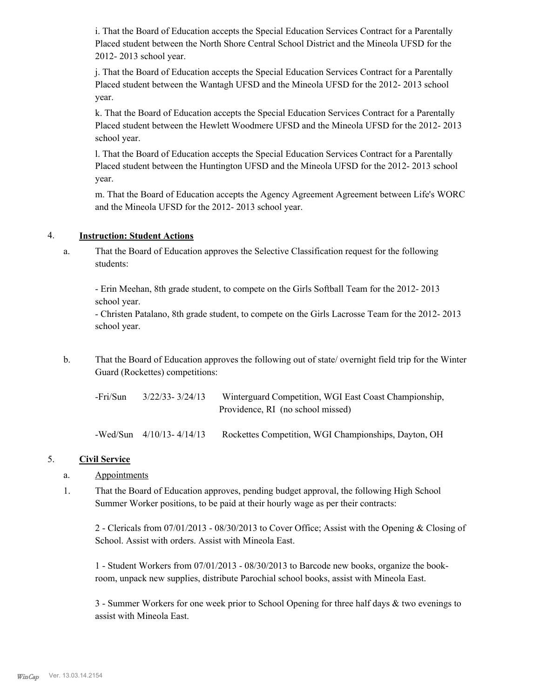i. That the Board of Education accepts the Special Education Services Contract for a Parentally Placed student between the North Shore Central School District and the Mineola UFSD for the 2012- 2013 school year.

j. That the Board of Education accepts the Special Education Services Contract for a Parentally Placed student between the Wantagh UFSD and the Mineola UFSD for the 2012- 2013 school year.

k. That the Board of Education accepts the Special Education Services Contract for a Parentally Placed student between the Hewlett Woodmere UFSD and the Mineola UFSD for the 2012- 2013 school year.

l. That the Board of Education accepts the Special Education Services Contract for a Parentally Placed student between the Huntington UFSD and the Mineola UFSD for the 2012- 2013 school year.

m. That the Board of Education accepts the Agency Agreement Agreement between Life's WORC and the Mineola UFSD for the 2012- 2013 school year.

### 4. **Instruction: Student Actions**

That the Board of Education approves the Selective Classification request for the following students: a.

- Erin Meehan, 8th grade student, to compete on the Girls Softball Team for the 2012- 2013 school year.

- Christen Patalano, 8th grade student, to compete on the Girls Lacrosse Team for the 2012- 2013 school year.

That the Board of Education approves the following out of state/ overnight field trip for the Winter Guard (Rockettes) competitions: b.

| -Fri/Sun | 3/22/33-3/24/13 | Winterguard Competition, WGI East Coast Championship, |
|----------|-----------------|-------------------------------------------------------|
|          |                 | Providence, RI (no school missed)                     |
|          |                 |                                                       |

-Wed/Sun 4/10/13- 4/14/13 Rockettes Competition, WGI Championships, Dayton, OH

## 5. **Civil Service**

- a. Appointments
- That the Board of Education approves, pending budget approval, the following High School Summer Worker positions, to be paid at their hourly wage as per their contracts: 1.

2 - Clericals from 07/01/2013 - 08/30/2013 to Cover Office; Assist with the Opening & Closing of School. Assist with orders. Assist with Mineola East.

1 - Student Workers from 07/01/2013 - 08/30/2013 to Barcode new books, organize the bookroom, unpack new supplies, distribute Parochial school books, assist with Mineola East.

3 - Summer Workers for one week prior to School Opening for three half days & two evenings to assist with Mineola East.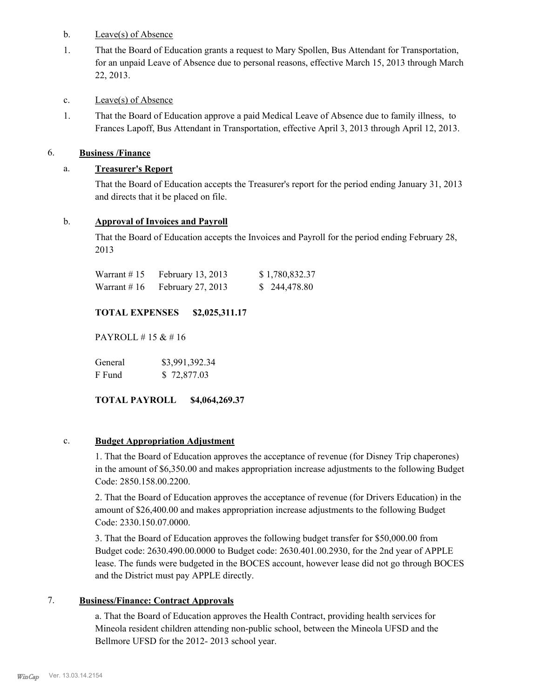#### b. Leave(s) of Absence

That the Board of Education grants a request to Mary Spollen, Bus Attendant for Transportation, for an unpaid Leave of Absence due to personal reasons, effective March 15, 2013 through March 22, 2013. 1.

## c. Leave(s) of Absence

That the Board of Education approve a paid Medical Leave of Absence due to family illness, to Frances Lapoff, Bus Attendant in Transportation, effective April 3, 2013 through April 12, 2013. 1.

# 6. **Business /Finance**

# a. **Treasurer's Report**

That the Board of Education accepts the Treasurer's report for the period ending January 31, 2013 and directs that it be placed on file.

## b. **Approval of Invoices and Payroll**

That the Board of Education accepts the Invoices and Payroll for the period ending February 28, 2013

| Warrant # 15 | February 13, 2013 | \$1,780,832.37 |
|--------------|-------------------|----------------|
| Warrant # 16 | February 27, 2013 | \$244,478.80   |

# **TOTAL EXPENSES \$2,025,311.17**

PAYROLL # 15 & # 16

General  $$3,991,392.34$ F Fund \$ 72,877.03

## **TOTAL PAYROLL \$4,064,269.37**

## c. **Budget Appropriation Adjustment**

1. That the Board of Education approves the acceptance of revenue (for Disney Trip chaperones) in the amount of \$6,350.00 and makes appropriation increase adjustments to the following Budget Code: 2850.158.00.2200.

2. That the Board of Education approves the acceptance of revenue (for Drivers Education) in the amount of \$26,400.00 and makes appropriation increase adjustments to the following Budget Code: 2330.150.07.0000.

3. That the Board of Education approves the following budget transfer for \$50,000.00 from Budget code: 2630.490.00.0000 to Budget code: 2630.401.00.2930, for the 2nd year of APPLE lease. The funds were budgeted in the BOCES account, however lease did not go through BOCES and the District must pay APPLE directly.

## 7. **Business/Finance: Contract Approvals**

a. That the Board of Education approves the Health Contract, providing health services for Mineola resident children attending non-public school, between the Mineola UFSD and the Bellmore UFSD for the 2012- 2013 school year.